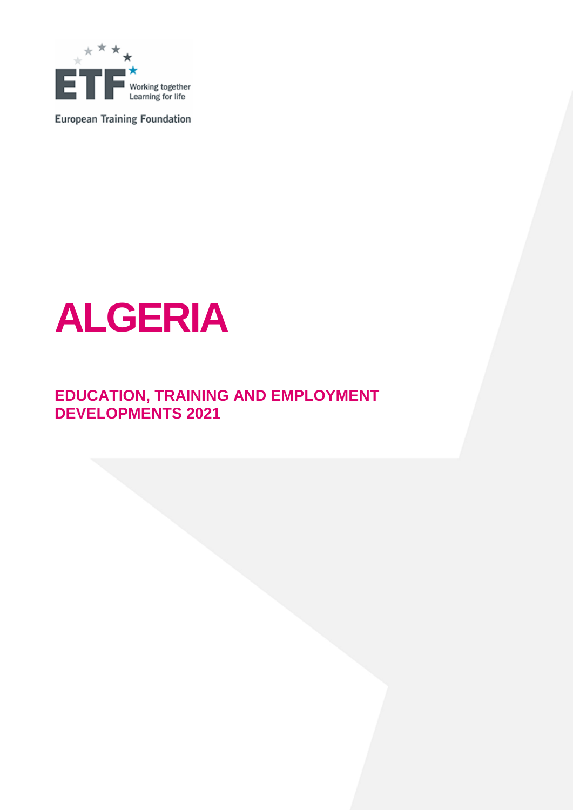

**European Training Foundation** 



## **EDUCATION, TRAINING AND EMPLOYMENT DEVELOPMENTS 2021**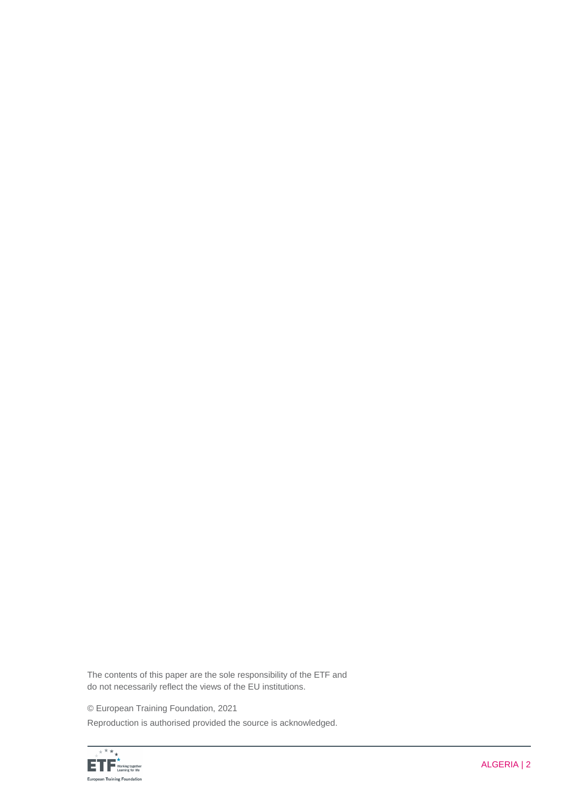The contents of this paper are the sole responsibility of the ETF and do not necessarily reflect the views of the EU institutions.

© European Training Foundation, 2021

Reproduction is authorised provided the source is acknowledged.

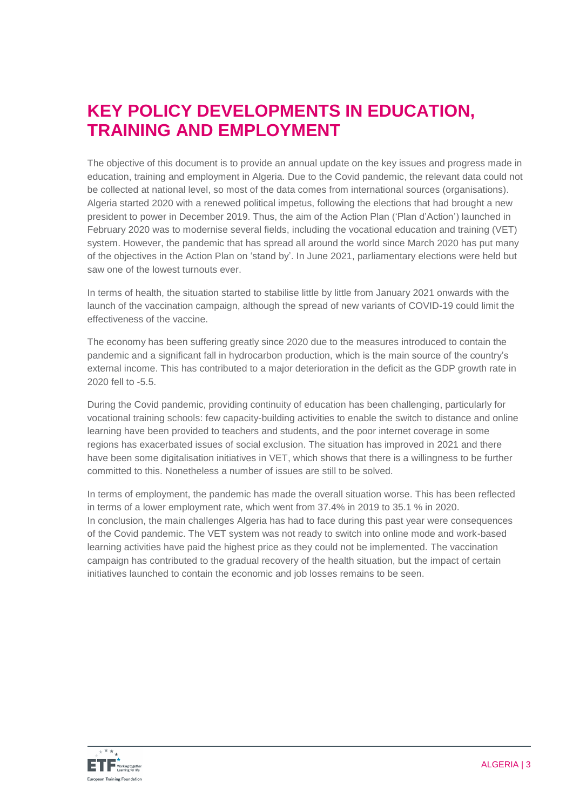## **KEY POLICY DEVELOPMENTS IN EDUCATION, TRAINING AND EMPLOYMENT**

The objective of this document is to provide an annual update on the key issues and progress made in education, training and employment in Algeria. Due to the Covid pandemic, the relevant data could not be collected at national level, so most of the data comes from international sources (organisations). Algeria started 2020 with a renewed political impetus, following the elections that had brought a new president to power in December 2019. Thus, the aim of the Action Plan ('Plan d'Action') launched in February 2020 was to modernise several fields, including the vocational education and training (VET) system. However, the pandemic that has spread all around the world since March 2020 has put many of the objectives in the Action Plan on 'stand by'. In June 2021, parliamentary elections were held but saw one of the lowest turnouts ever.

In terms of health, the situation started to stabilise little by little from January 2021 onwards with the launch of the vaccination campaign, although the spread of new variants of COVID-19 could limit the effectiveness of the vaccine.

The economy has been suffering greatly since 2020 due to the measures introduced to contain the pandemic and a significant fall in hydrocarbon production, which is the main source of the country's external income. This has contributed to a major deterioration in the deficit as the GDP growth rate in 2020 fell to -5.5.

During the Covid pandemic, providing continuity of education has been challenging, particularly for vocational training schools: few capacity-building activities to enable the switch to distance and online learning have been provided to teachers and students, and the poor internet coverage in some regions has exacerbated issues of social exclusion. The situation has improved in 2021 and there have been some digitalisation initiatives in VET, which shows that there is a willingness to be further committed to this. Nonetheless a number of issues are still to be solved.

In terms of employment, the pandemic has made the overall situation worse. This has been reflected in terms of a lower employment rate, which went from 37.4% in 2019 to 35.1 % in 2020. In conclusion, the main challenges Algeria has had to face during this past year were consequences of the Covid pandemic. The VET system was not ready to switch into online mode and work-based learning activities have paid the highest price as they could not be implemented. The vaccination campaign has contributed to the gradual recovery of the health situation, but the impact of certain initiatives launched to contain the economic and job losses remains to be seen.

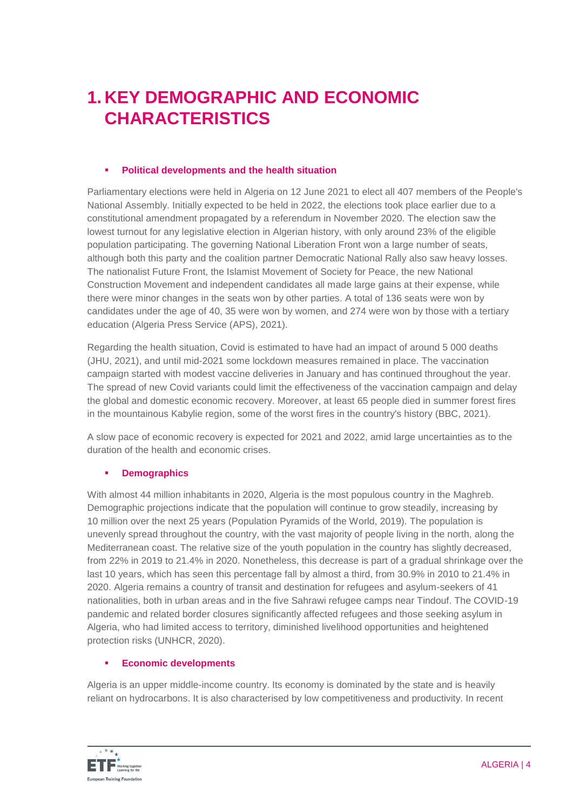# **1. KEY DEMOGRAPHIC AND ECONOMIC CHARACTERISTICS**

### **Political developments and the health situation**

Parliamentary elections were held in [Algeria](https://en.wikipedia.org/wiki/Algeria) on 12 June 2021 to elect all 407 members of the [People's](https://en.wikipedia.org/wiki/People%27s_National_Assembly)  [National Assembly.](https://en.wikipedia.org/wiki/People%27s_National_Assembly) Initially expected to be held in 2022, the elections took place earlier due to a constitutional amendment propagated by a [referendum](https://en.wikipedia.org/wiki/2020_Algerian_constitutional_referendum) in November 2020. The election saw the lowest turnout for any legislative election in Algerian history, with only around 23% of the eligible population participating. The governing National Liberation Front won a large number of seats, although both this party and the coalition partner Democratic National Rally also saw heavy losses. The nationalist Future Front, the Islamist Movement of Society for Peace, the new National Construction Movement and independent candidates all made large gains at their expense, while there were minor changes in the seats won by other parties. A total of 136 seats were won by candidates under the age of 40, 35 were won by women, and 274 were won by those with a tertiary education (Algeria Press Service (APS), 2021).

Regarding the health situation, Covid is estimated to have had an impact of around 5 000 deaths (JHU, 2021), and until mid-2021 some lockdown measures remained in place. The vaccination campaign started with modest vaccine deliveries in January and has continued throughout the year. The spread of new Covid variants could limit the effectiveness of the vaccination campaign and delay the global and domestic economic recovery. Moreover, at least 65 people died in summer forest fires in the mountainous Kabylie region, some of the worst fires in the country's history (BBC, 2021).

A slow pace of economic recovery is expected for 2021 and 2022, amid large uncertainties as to the duration of the health and economic crises.

### **Demographics**

With almost 44 million inhabitants in 2020, Algeria is the most populous country in the Maghreb. Demographic projections indicate that the population will continue to grow steadily, increasing by 10 million over the next 25 years (Population Pyramids of the World, 2019). The population is unevenly spread throughout the country, with the vast majority of people living in the north, along the Mediterranean coast. The relative size of the youth population in the country has slightly decreased, from 22% in 2019 to 21.4% in 2020. Nonetheless, this decrease is part of a gradual shrinkage over the last 10 years, which has seen this percentage fall by almost a third, from 30.9% in 2010 to 21.4% in 2020. Algeria remains a country of transit and destination for refugees and asylum-seekers of 41 nationalities, both in urban areas and in the five Sahrawi refugee camps near Tindouf. The COVID-19 pandemic and related border closures significantly affected refugees and those seeking asylum in Algeria, who had limited access to territory, diminished livelihood opportunities and heightened protection risks (UNHCR, 2020).

### **Economic developments**

Algeria is an upper middle-income country. Its economy is dominated by the state and is heavily reliant on hydrocarbons. It is also characterised by low competitiveness and productivity. In recent

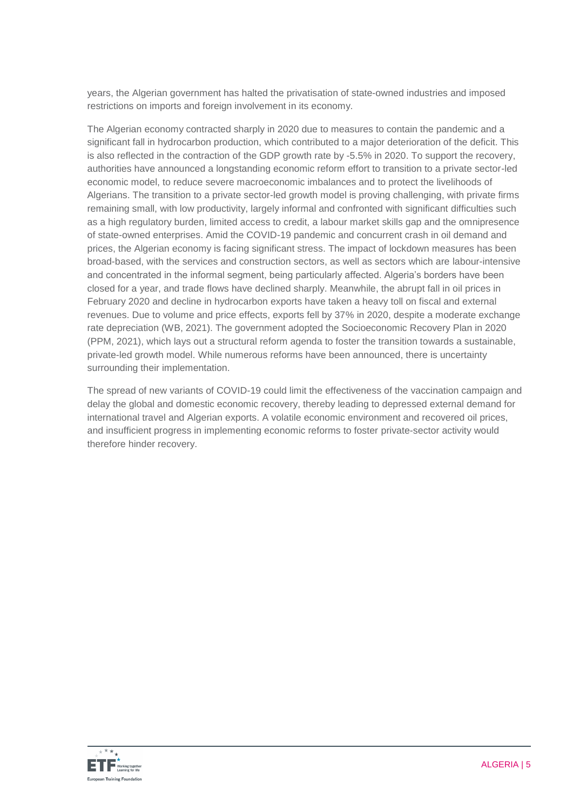years, the Algerian government has halted the privatisation of state-owned industries and imposed restrictions on imports and foreign involvement in its economy.

The Algerian economy contracted sharply in 2020 due to measures to contain the pandemic and a significant fall in hydrocarbon production, which contributed to a major deterioration of the deficit. This is also reflected in the contraction of the GDP growth rate by -5.5% in 2020. To support the recovery, authorities have announced a longstanding economic reform effort to transition to a private sector-led economic model, to reduce severe macroeconomic imbalances and to protect the livelihoods of Algerians. The transition to a private sector-led growth model is proving challenging, with private firms remaining small, with low productivity, largely informal and confronted with significant difficulties such as a high regulatory burden, limited access to credit, a labour market skills gap and the omnipresence of state-owned enterprises. Amid the COVID-19 pandemic and concurrent crash in oil demand and prices, the Algerian economy is facing significant stress. The impact of lockdown measures has been broad-based, with the services and construction sectors, as well as sectors which are labour-intensive and concentrated in the informal segment, being particularly affected. Algeria's borders have been closed for a year, and trade flows have declined sharply. Meanwhile, the abrupt fall in oil prices in February 2020 and decline in hydrocarbon exports have taken a heavy toll on fiscal and external revenues. Due to volume and price effects, exports fell by 37% in 2020, despite a moderate exchange rate depreciation (WB, 2021). The government adopted the Socioeconomic Recovery Plan in 2020 (PPM, 2021), which lays out a structural reform agenda to foster the transition towards a sustainable, private-led growth model. While numerous reforms have been announced, there is uncertainty surrounding their implementation.

The spread of new variants of COVID-19 could limit the effectiveness of the vaccination campaign and delay the global and domestic economic recovery, thereby leading to depressed external demand for international travel and Algerian exports. A volatile economic environment and recovered oil prices, and insufficient progress in implementing economic reforms to foster private-sector activity would therefore hinder recovery.

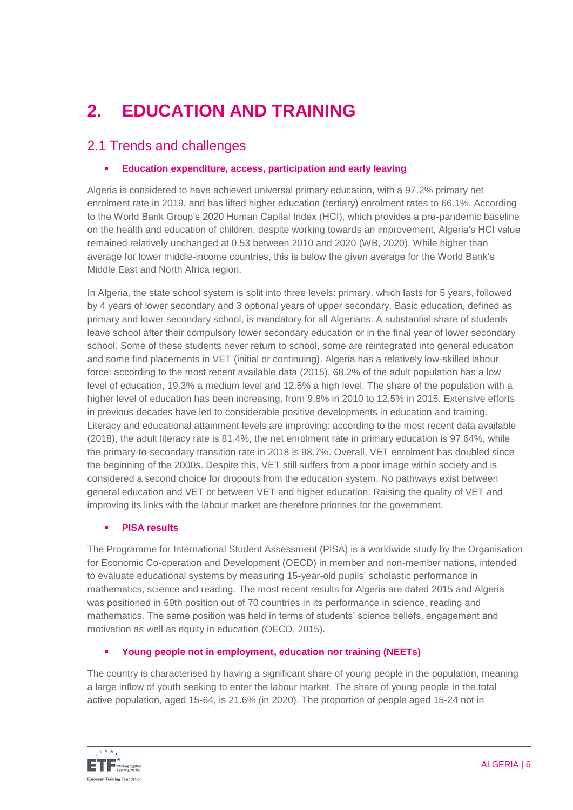# **2. EDUCATION AND TRAINING**

## 2.1 Trends and challenges

### **Education expenditure, access, participation and early leaving**

Algeria is considered to have achieved universal primary education, with a 97.2% primary net enrolment rate in 2019, and has lifted higher education (tertiary) enrolment rates to 66.1%. According to the World Bank Group's 2020 Human Capital Index (HCI), which provides a pre-pandemic baseline on the health and education of children, despite working towards an improvement, Algeria's HCI value remained relatively unchanged at 0.53 between 2010 and 2020 (WB, 2020). While higher than average for lower middle-income countries, this is below the given average for the World Bank's Middle East and North Africa region.

In Algeria, the state school system is split into three levels: primary, which lasts for 5 years, followed by 4 years of lower secondary and 3 optional years of upper secondary. Basic education, defined as primary and lower secondary school, is mandatory for all Algerians. A substantial share of students leave school after their compulsory lower secondary education or in the final year of lower secondary school. Some of these students never return to school, some are reintegrated into general education and some find placements in VET (initial or continuing). Algeria has a relatively low-skilled labour force: according to the most recent available data (2015), 68.2% of the adult population has a low level of education, 19.3% a medium level and 12.5% a high level. The share of the population with a higher level of education has been increasing, from 9.8% in 2010 to 12.5% in 2015. Extensive efforts in previous decades have led to considerable positive developments in education and training. Literacy and educational attainment levels are improving: according to the most recent data available (2018), the adult literacy rate is 81.4%, the net enrolment rate in primary education is 97.64%, while the primary-to-secondary transition rate in 2018 is 98.7%. Overall, VET enrolment has doubled since the beginning of the 2000s. Despite this, VET still suffers from a poor image within society and is considered a second choice for dropouts from the education system. No pathways exist between general education and VET or between VET and higher education. Raising the quality of VET and improving its links with the labour market are therefore priorities for the government.

### **PISA results**

The Programme for International Student Assessment (PISA) is a worldwide study by the Organisation for Economic Co-operation and Development (OECD) in member and non-member nations, intended to evaluate educational systems by measuring 15-year-old pupils' scholastic performance in mathematics, science and reading. The most recent results for Algeria are dated 2015 and Algeria was positioned in 69th position out of 70 countries in its performance in science, reading and mathematics. The same position was held in terms of students' science beliefs, engagement and motivation as well as equity in education (OECD, 2015).

### **Young people not in employment, education nor training (NEETs)**

The country is characterised by having a significant share of young people in the population, meaning a large inflow of youth seeking to enter the labour market. The share of young people in the total active population, aged 15-64, is 21.6% (in 2020). The proportion of people aged 15-24 not in

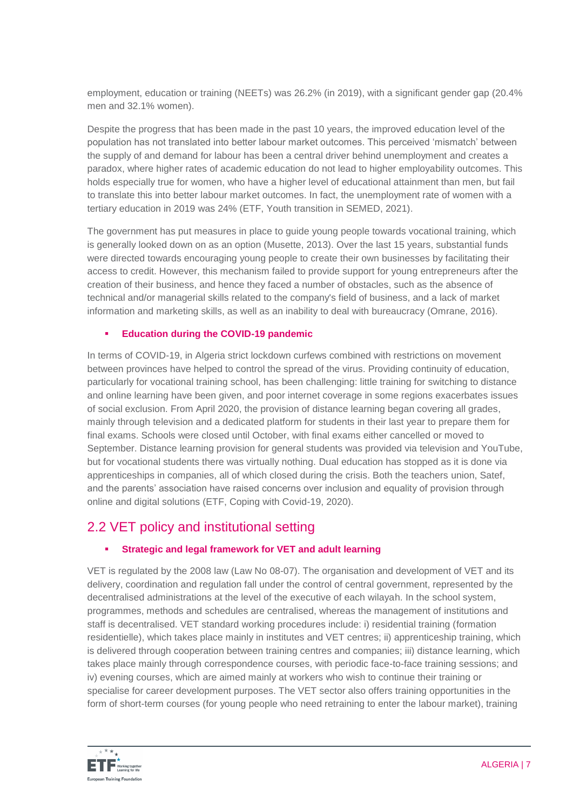employment, education or training (NEETs) was 26.2% (in 2019), with a significant gender gap (20.4% men and 32.1% women).

Despite the progress that has been made in the past 10 years, the improved education level of the population has not translated into better labour market outcomes. This perceived 'mismatch' between the supply of and demand for labour has been a central driver behind unemployment and creates a paradox, where higher rates of academic education do not lead to higher employability outcomes. This holds especially true for women, who have a higher level of educational attainment than men, but fail to translate this into better labour market outcomes. In fact, the unemployment rate of women with a tertiary education in 2019 was 24% (ETF, Youth transition in SEMED, 2021).

The government has put measures in place to guide young people towards vocational training, which is generally looked down on as an option (Musette, 2013). Over the last 15 years, substantial funds were directed towards encouraging young people to create their own businesses by facilitating their access to credit. However, this mechanism failed to provide support for young entrepreneurs after the creation of their business, and hence they faced a number of obstacles, such as the absence of technical and/or managerial skills related to the company's field of business, and a lack of market information and marketing skills, as well as an inability to deal with bureaucracy (Omrane, 2016).

### **Education during the COVID-19 pandemic**

In terms of COVID-19, in Algeria strict lockdown curfews combined with restrictions on movement between provinces have helped to control the spread of the virus. Providing continuity of education, particularly for vocational training school, has been challenging: little training for switching to distance and online learning have been given, and poor internet coverage in some regions exacerbates issues of social exclusion. From April 2020, the provision of distance learning began covering all grades, mainly through television and a dedicated platform for students in their last year to prepare them for final exams. Schools were closed until October, with final exams either cancelled or moved to September. Distance learning provision for general students was provided via television and YouTube, but for vocational students there was virtually nothing. Dual education has stopped as it is done via apprenticeships in companies, all of which closed during the crisis. Both the teachers union, Satef, and the parents' association have raised concerns over inclusion and equality of provision through online and digital solutions (ETF, Coping with Covid-19, 2020).

### 2.2 VET policy and institutional setting

### **Strategic and legal framework for VET and adult learning**

VET is regulated by the 2008 law (Law No 08-07). The organisation and development of VET and its delivery, coordination and regulation fall under the control of central government, represented by the decentralised administrations at the level of the executive of each wilayah. In the school system, programmes, methods and schedules are centralised, whereas the management of institutions and staff is decentralised. VET standard working procedures include: i) residential training (formation residentielle), which takes place mainly in institutes and VET centres; ii) apprenticeship training, which is delivered through cooperation between training centres and companies; iii) distance learning, which takes place mainly through correspondence courses, with periodic face-to-face training sessions; and iv) evening courses, which are aimed mainly at workers who wish to continue their training or specialise for career development purposes. The VET sector also offers training opportunities in the form of short-term courses (for young people who need retraining to enter the labour market), training

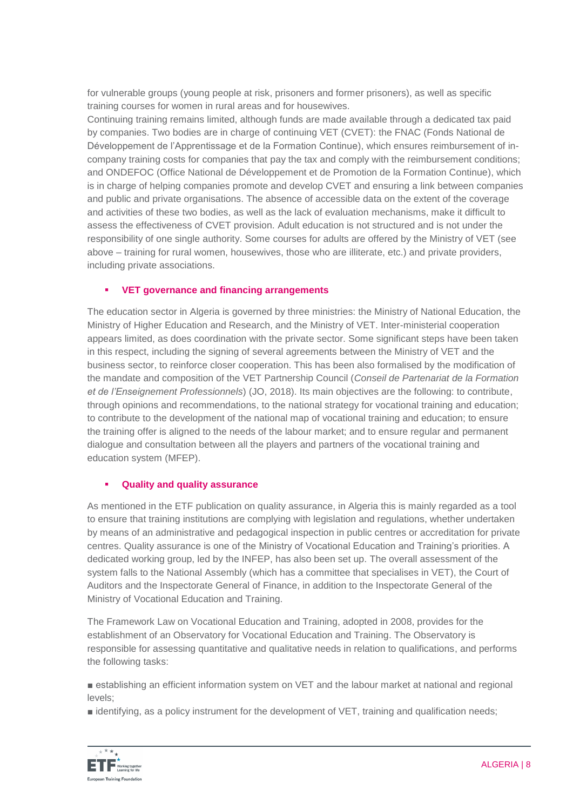for vulnerable groups (young people at risk, prisoners and former prisoners), as well as specific training courses for women in rural areas and for housewives.

Continuing training remains limited, although funds are made available through a dedicated tax paid by companies. Two bodies are in charge of continuing VET (CVET): the FNAC (Fonds National de Développement de l'Apprentissage et de la Formation Continue), which ensures reimbursement of incompany training costs for companies that pay the tax and comply with the reimbursement conditions; and ONDEFOC (Office National de Développement et de Promotion de la Formation Continue), which is in charge of helping companies promote and develop CVET and ensuring a link between companies and public and private organisations. The absence of accessible data on the extent of the coverage and activities of these two bodies, as well as the lack of evaluation mechanisms, make it difficult to assess the effectiveness of CVET provision. Adult education is not structured and is not under the responsibility of one single authority. Some courses for adults are offered by the Ministry of VET (see above – training for rural women, housewives, those who are illiterate, etc.) and private providers, including private associations.

### **VET governance and financing arrangements**

The education sector in Algeria is governed by three ministries: the Ministry of National Education, the Ministry of Higher Education and Research, and the Ministry of VET. Inter-ministerial cooperation appears limited, as does coordination with the private sector. Some significant steps have been taken in this respect, including the signing of several agreements between the Ministry of VET and the business sector, to reinforce closer cooperation. This has been also formalised by the modification of the mandate and composition of the VET Partnership Council (*Conseil de Partenariat de la Formation et de l'Enseignement Professionnels*) (JO, 2018). Its main objectives are the following: to contribute, through opinions and recommendations, to the national strategy for vocational training and education; to contribute to the development of the national map of vocational training and education; to ensure the training offer is aligned to the needs of the labour market; and to ensure regular and permanent dialogue and consultation between all the players and partners of the vocational training and education system (MFEP).

### **Quality and quality assurance**

As mentioned in the ETF publication on quality assurance, in Algeria this is mainly regarded as a tool to ensure that training institutions are complying with legislation and regulations, whether undertaken by means of an administrative and pedagogical inspection in public centres or accreditation for private centres. Quality assurance is one of the Ministry of Vocational Education and Training's priorities. A dedicated working group, led by the INFEP, has also been set up. The overall assessment of the system falls to the National Assembly (which has a committee that specialises in VET), the Court of Auditors and the Inspectorate General of Finance, in addition to the Inspectorate General of the Ministry of Vocational Education and Training.

The Framework Law on Vocational Education and Training, adopted in 2008, provides for the establishment of an Observatory for Vocational Education and Training. The Observatory is responsible for assessing quantitative and qualitative needs in relation to qualifications, and performs the following tasks:

■ establishing an efficient information system on VET and the labour market at national and regional levels;

■ identifying, as a policy instrument for the development of VET, training and qualification needs;

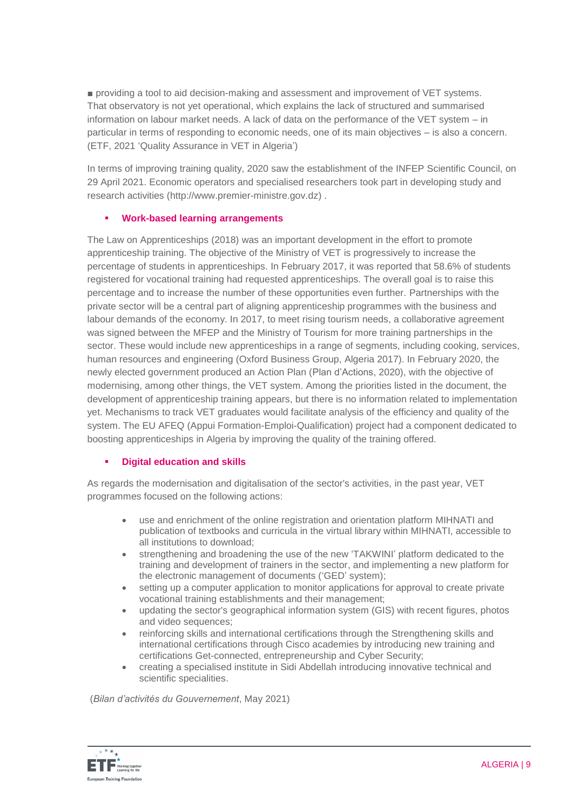■ providing a tool to aid decision-making and assessment and improvement of VET systems. That observatory is not yet operational, which explains the lack of structured and summarised information on labour market needs. A lack of data on the performance of the VET system – in particular in terms of responding to economic needs, one of its main objectives – is also a concern. (ETF, 2021 'Quality Assurance in VET in Algeria')

In terms of improving training quality, 2020 saw the establishment of the INFEP Scientific Council, on 29 April 2021. Economic operators and specialised researchers took part in developing study and research activities [\(http://www.premier-ministre.gov.dz\)](http://www.premier-ministre.gov.dz/) .

### **Work-based learning arrangements**

The Law on Apprenticeships (2018) was an important development in the effort to promote apprenticeship training. The objective of the Ministry of VET is progressively to increase the percentage of students in apprenticeships. In February 2017, it was reported that 58.6% of students registered for vocational training had requested apprenticeships. The overall goal is to raise this percentage and to increase the number of these opportunities even further. Partnerships with the private sector will be a central part of aligning apprenticeship programmes with the business and labour demands of the economy. In 2017, to meet rising tourism needs, a collaborative agreement was signed between the MFEP and the Ministry of Tourism for more training partnerships in the sector. These would include new apprenticeships in a range of segments, including cooking, services, human resources and engineering (Oxford Business Group, Algeria 2017). In February 2020, the newly elected government produced an Action Plan (Plan d'Actions, 2020), with the objective of modernising, among other things, the VET system. Among the priorities listed in the document, the development of apprenticeship training appears, but there is no information related to implementation yet. Mechanisms to track VET graduates would facilitate analysis of the efficiency and quality of the system. The EU AFEQ (Appui Formation-Emploi-Qualification) project had a component dedicated to boosting apprenticeships in Algeria by improving the quality of the training offered.

### **Digital education and skills**

As regards the modernisation and digitalisation of the sector's activities, in the past year, VET programmes focused on the following actions:

- use and enrichment of the online registration and orientation platform MIHNATI and publication of textbooks and curricula in the virtual library within MIHNATI, accessible to all institutions to download;
- strengthening and broadening the use of the new 'TAKWINI' platform dedicated to the training and development of trainers in the sector, and implementing a new platform for the electronic management of documents ('GED' system);
- setting up a computer application to monitor applications for approval to create private vocational training establishments and their management;
- updating the sector's geographical information system (GIS) with recent figures, photos and video sequences;
- reinforcing skills and international certifications through the Strengthening skills and international certifications through Cisco academies by introducing new training and certifications Get-connected, entrepreneurship and Cyber Security;
- creating a specialised institute in Sidi Abdellah introducing innovative technical and scientific specialities.

(*Bilan d'activités du Gouvernement*, May 2021)

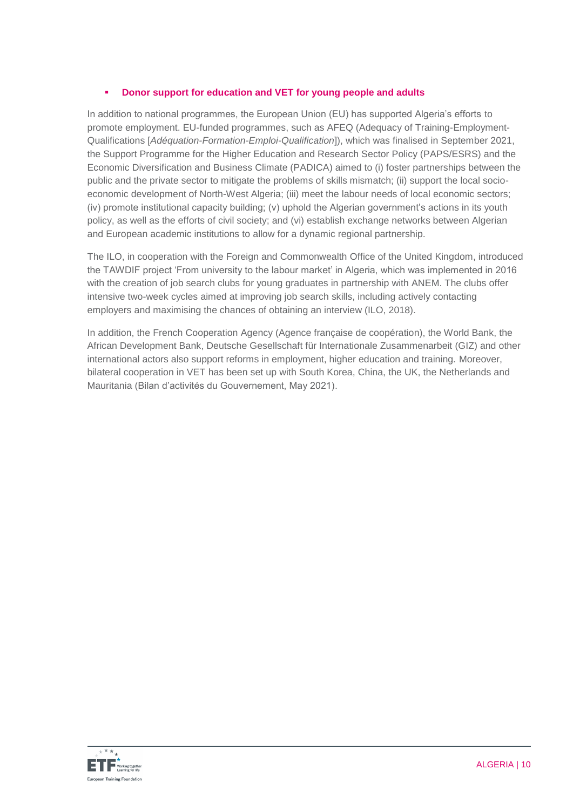### **Donor support for education and VET for young people and adults**

In addition to national programmes, the European Union (EU) has supported Algeria's efforts to promote employment. EU-funded programmes, such as AFEQ (Adequacy of Training-Employment-Qualifications [*Adéquation-Formation-Emploi-Qualification*]), which was finalised in September 2021, the Support Programme for the Higher Education and Research Sector Policy (PAPS/ESRS) and the Economic Diversification and Business Climate (PADICA) aimed to (i) foster partnerships between the public and the private sector to mitigate the problems of skills mismatch; (ii) support the local socioeconomic development of North-West Algeria; (iii) meet the labour needs of local economic sectors; (iv) promote institutional capacity building; (v) uphold the Algerian government's actions in its youth policy, as well as the efforts of civil society; and (vi) establish exchange networks between Algerian and European academic institutions to allow for a dynamic regional partnership.

The ILO, in cooperation with the Foreign and Commonwealth Office of the United Kingdom, introduced the TAWDIF project 'From university to the labour market' in Algeria, which was implemented in 2016 with the creation of job search clubs for young graduates in partnership with ANEM. The clubs offer intensive two-week cycles aimed at improving job search skills, including actively contacting employers and maximising the chances of obtaining an interview (ILO, 2018).

In addition, the French Cooperation Agency (Agence française de coopération), the World Bank, the African Development Bank, Deutsche Gesellschaft für Internationale Zusammenarbeit (GIZ) and other international actors also support reforms in employment, higher education and training. Moreover, bilateral cooperation in VET has been set up with South Korea, China, the UK, the Netherlands and Mauritania (Bilan d'activités du Gouvernement, May 2021).

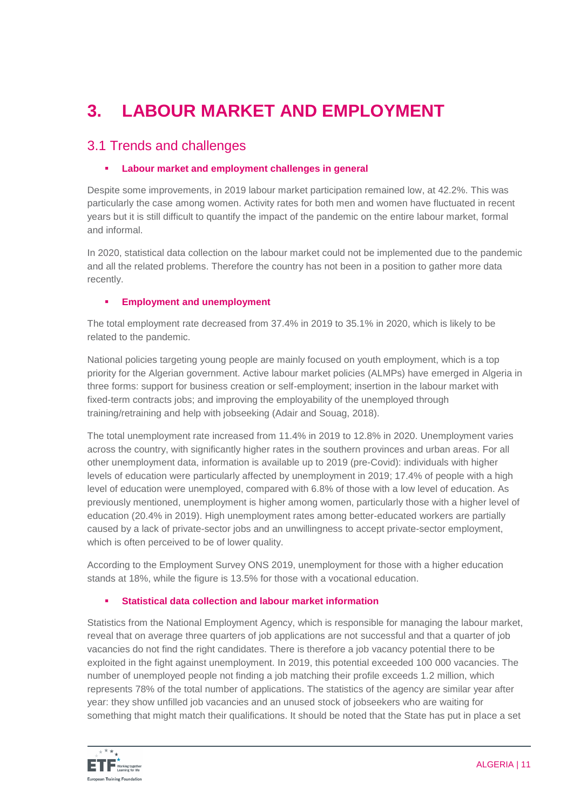# **3. LABOUR MARKET AND EMPLOYMENT**

### 3.1 Trends and challenges

### **Labour market and employment challenges in general**

Despite some improvements, in 2019 labour market participation remained low, at 42.2%. This was particularly the case among women. Activity rates for both men and women have fluctuated in recent years but it is still difficult to quantify the impact of the pandemic on the entire labour market, formal and informal.

In 2020, statistical data collection on the labour market could not be implemented due to the pandemic and all the related problems. Therefore the country has not been in a position to gather more data recently.

### **Employment and unemployment**

The total employment rate decreased from 37.4% in 2019 to 35.1% in 2020, which is likely to be related to the pandemic.

National policies targeting young people are mainly focused on youth employment, which is a top priority for the Algerian government. Active labour market policies (ALMPs) have emerged in Algeria in three forms: support for business creation or self-employment; insertion in the labour market with fixed-term contracts jobs; and improving the employability of the unemployed through training/retraining and help with jobseeking (Adair and Souag, 2018).

The total unemployment rate increased from 11.4% in 2019 to 12.8% in 2020. Unemployment varies across the country, with significantly higher rates in the southern provinces and urban areas. For all other unemployment data, information is available up to 2019 (pre-Covid): individuals with higher levels of education were particularly affected by unemployment in 2019; 17.4% of people with a high level of education were unemployed, compared with 6.8% of those with a low level of education. As previously mentioned, unemployment is higher among women, particularly those with a higher level of education (20.4% in 2019). High unemployment rates among better-educated workers are partially caused by a lack of private-sector jobs and an unwillingness to accept private-sector employment, which is often perceived to be of lower quality.

According to the Employment Survey ONS 2019, unemployment for those with a higher education stands at 18%, while the figure is 13.5% for those with a vocational education.

### **Statistical data collection and labour market information**

Statistics from the National Employment Agency, which is responsible for managing the labour market, reveal that on average three quarters of job applications are not successful and that a quarter of job vacancies do not find the right candidates. There is therefore a job vacancy potential there to be exploited in the fight against unemployment. In 2019, this potential exceeded 100 000 vacancies. The number of unemployed people not finding a job matching their profile exceeds 1.2 million, which represents 78% of the total number of applications. The statistics of the agency are similar year after year: they show unfilled job vacancies and an unused stock of jobseekers who are waiting for something that might match their qualifications. It should be noted that the State has put in place a set

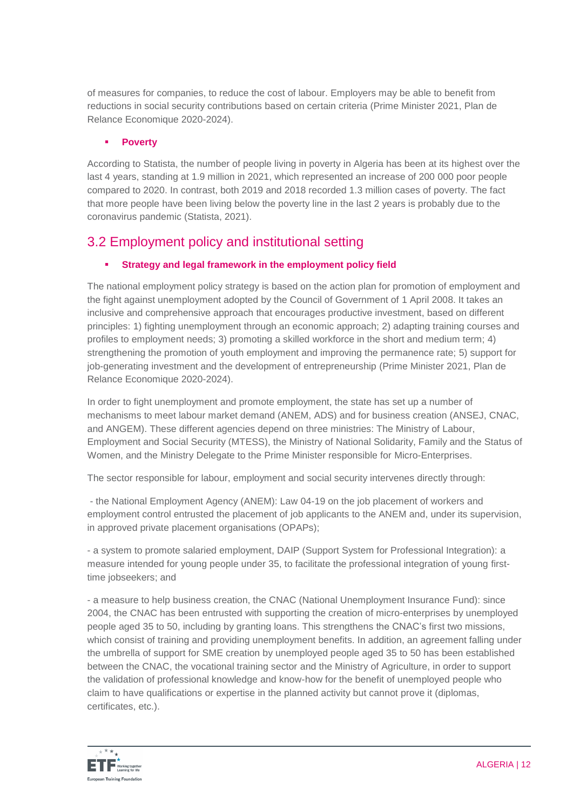of measures for companies, to reduce the cost of labour. Employers may be able to benefit from reductions in social security contributions based on certain criteria (Prime Minister 2021, Plan de Relance Economique 2020-2024).

### **Poverty**

According to Statista, the number of people living in poverty in Algeria has been at its highest over the last 4 years, standing at 1.9 million in 2021, which represented an increase of 200 000 poor people compared to 2020. In contrast, both 2019 and 2018 recorded 1.3 million cases of poverty. The fact that more people have been living below the poverty line in the last 2 years is probably due to the coronavirus pandemic (Statista, 2021).

### 3.2 Employment policy and institutional setting

### **Strategy and legal framework in the employment policy field**

The national employment policy strategy is based on the action plan for promotion of employment and the fight against unemployment adopted by the Council of Government of 1 April 2008. It takes an inclusive and comprehensive approach that encourages productive investment, based on different principles: 1) fighting unemployment through an economic approach; 2) adapting training courses and profiles to employment needs; 3) promoting a skilled workforce in the short and medium term; 4) strengthening the promotion of youth employment and improving the permanence rate; 5) support for job-generating investment and the development of entrepreneurship (Prime Minister 2021, Plan de Relance Economique 2020-2024).

In order to fight unemployment and promote employment, the state has set up a number of mechanisms to meet labour market demand (ANEM, ADS) and for business creation (ANSEJ, CNAC, and ANGEM). These different agencies depend on three ministries: The Ministry of Labour, Employment and Social Security (MTESS), the Ministry of National Solidarity, Family and the Status of Women, and the Ministry Delegate to the Prime Minister responsible for Micro-Enterprises.

The sector responsible for labour, employment and social security intervenes directly through:

- the National Employment Agency (ANEM): Law 04-19 on the job placement of workers and employment control entrusted the placement of job applicants to the ANEM and, under its supervision, in approved private placement organisations (OPAPs);

- a system to promote salaried employment, DAIP (Support System for Professional Integration): a measure intended for young people under 35, to facilitate the professional integration of young firsttime jobseekers; and

- a measure to help business creation, the CNAC (National Unemployment Insurance Fund): since 2004, the CNAC has been entrusted with supporting the creation of micro-enterprises by unemployed people aged 35 to 50, including by granting loans. This strengthens the CNAC's first two missions, which consist of training and providing unemployment benefits. In addition, an agreement falling under the umbrella of support for SME creation by unemployed people aged 35 to 50 has been established between the CNAC, the vocational training sector and the Ministry of Agriculture, in order to support the validation of professional knowledge and know-how for the benefit of unemployed people who claim to have qualifications or expertise in the planned activity but cannot prove it (diplomas, certificates, etc.).

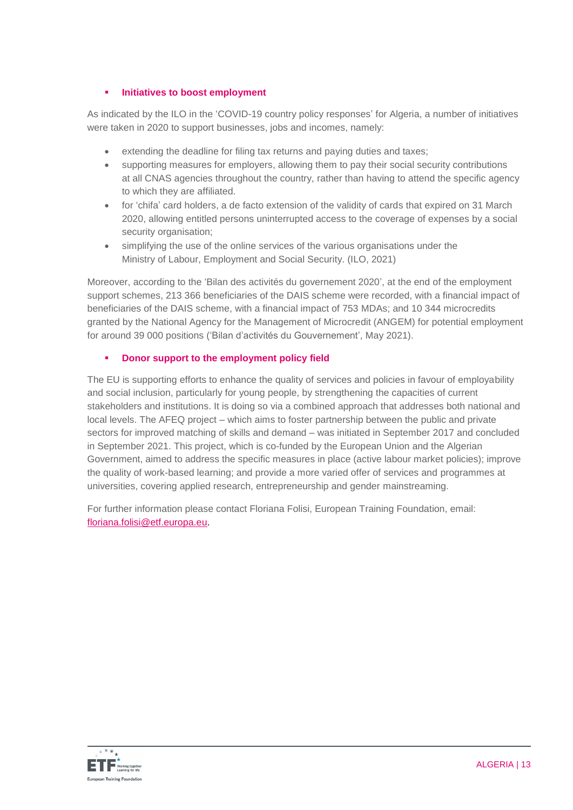### **Initiatives to boost employment**

As indicated by the ILO in the 'COVID-19 country policy responses' for Algeria, a number of initiatives were taken in 2020 to support businesses, jobs and incomes, namely:

- extending the deadline for filing tax returns and paying duties and taxes;
- supporting measures for employers, allowing them to pay their social security contributions at all CNAS agencies throughout the country, rather than having to attend the specific agency to which they are affiliated.
- for 'chifa' card holders, a de facto extension of the validity of cards that expired on 31 March 2020, allowing entitled persons uninterrupted access to the coverage of expenses by a social security organisation:
- simplifying the use of the online services of the various organisations under the Ministry of Labour, Employment and Social Security. (ILO, 2021)

Moreover, according to the 'Bilan des activités du governement 2020', at the end of the employment support schemes, 213 366 beneficiaries of the DAIS scheme were recorded, with a financial impact of beneficiaries of the DAIS scheme, with a financial impact of 753 MDAs; and 10 344 microcredits granted by the National Agency for the Management of Microcredit (ANGEM) for potential employment for around 39 000 positions ('Bilan d'activités du Gouvernement', May 2021).

### **EXECUTE:** Donor support to the employment policy field

The EU is supporting efforts to enhance the quality of services and policies in favour of employability and social inclusion, particularly for young people, by strengthening the capacities of current stakeholders and institutions. It is doing so via a combined approach that addresses both national and local levels. The AFEQ project – which aims to foster partnership between the public and private sectors for improved matching of skills and demand – was initiated in September 2017 and concluded in September 2021. This project, which is co-funded by the European Union and the Algerian Government, aimed to address the specific measures in place (active labour market policies); improve the quality of work-based learning; and provide a more varied offer of services and programmes at universities, covering applied research, entrepreneurship and gender mainstreaming.

For further information please contact Floriana Folisi, European Training Foundation, email: [floriana.folisi@etf.europa.eu.](mailto:floriana.folisi@etf.europa.eu)

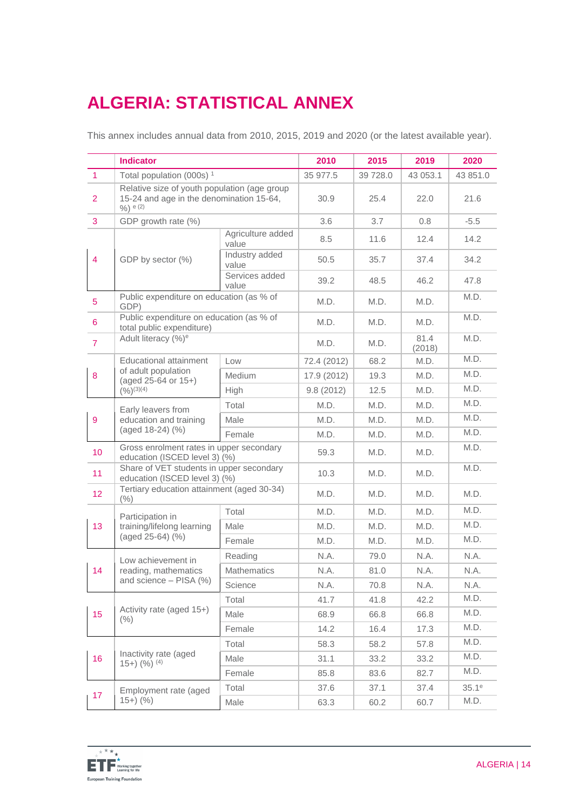# **ALGERIA: STATISTICAL ANNEX**

This annex includes annual data from 2010, 2015, 2019 and 2020 (or the latest available year).

|                  | <b>Indicator</b>                                                                                          |                            | 2010        | 2015     | 2019           | 2020     |
|------------------|-----------------------------------------------------------------------------------------------------------|----------------------------|-------------|----------|----------------|----------|
| $\mathbf{1}$     | Total population (000s) <sup>1</sup>                                                                      |                            | 35 977.5    | 39 728.0 | 43 053.1       | 43 851.0 |
| $\overline{2}$   | Relative size of youth population (age group<br>15-24 and age in the denomination 15-64,<br>$9/0$ ) e (2) |                            | 30.9        | 25.4     | 22.0           | 21.6     |
| 3                | GDP growth rate (%)                                                                                       |                            | 3.6         | 3.7      | 0.8            | $-5.5$   |
|                  |                                                                                                           | Agriculture added<br>value | 8.5         | 11.6     | 12.4           | 14.2     |
| $\overline{4}$   | GDP by sector (%)                                                                                         | Industry added<br>value    | 50.5        | 35.7     | 37.4           | 34.2     |
|                  |                                                                                                           | Services added<br>value    | 39.2        | 48.5     | 46.2           | 47.8     |
| 5                | Public expenditure on education (as % of<br>GDP)                                                          |                            | M.D.        | M.D.     | M.D.           | M.D.     |
| 6                | Public expenditure on education (as % of<br>total public expenditure)                                     |                            | M.D.        | M.D.     | M.D.           | M.D.     |
| $\overline{7}$   | Adult literacy (%) <sup>e</sup>                                                                           |                            | M.D.        | M.D.     | 81.4<br>(2018) | M.D.     |
|                  | <b>Educational attainment</b>                                                                             | Low                        | 72.4 (2012) | 68.2     | M.D.           | M.D.     |
| $\bf 8$          | of adult population<br>(aged 25-64 or 15+)                                                                | Medium                     | 17.9 (2012) | 19.3     | M.D.           | M.D.     |
|                  | $(\frac{9}{6})^{(3)(4)}$                                                                                  | High                       | 9.8(2012)   | 12.5     | M.D.           | M.D.     |
|                  | Early leavers from                                                                                        | Total                      | M.D.        | M.D.     | M.D.           | M.D.     |
| $\boldsymbol{9}$ | education and training<br>(aged 18-24) (%)                                                                | Male                       | M.D.        | M.D.     | M.D.           | M.D.     |
|                  |                                                                                                           | Female                     | M.D.        | M.D.     | M.D.           | M.D.     |
| 10               | Gross enrolment rates in upper secondary<br>education (ISCED level 3) (%)                                 |                            | 59.3        | M.D.     | M.D.           | M.D.     |
| 11               | Share of VET students in upper secondary<br>education (ISCED level 3) (%)                                 |                            | 10.3        | M.D.     | M.D.           | M.D.     |
| 12 <sub>2</sub>  | Tertiary education attainment (aged 30-34)<br>(% )                                                        |                            | M.D.        | M.D.     | M.D.           | M.D.     |
|                  | Participation in                                                                                          | Total                      | M.D.        | M.D.     | M.D.           | M.D.     |
| 13               | training/lifelong learning                                                                                | Male                       | M.D.        | M.D.     | M.D.           | M.D.     |
|                  | (aged 25-64) (%)                                                                                          | Female                     | M.D.        | M.D.     | M.D.           | M.D.     |
|                  | Low achievement in                                                                                        | Reading                    | N.A.        | 79.0     | N.A.           | N.A.     |
| 14               | reading, mathematics                                                                                      | <b>Mathematics</b>         | N.A.        | 81.0     | N.A.           | N.A.     |
|                  | and science - PISA (%)                                                                                    | Science                    | N.A.        | 70.8     | N.A.           | N.A.     |
|                  |                                                                                                           | Total                      | 41.7        | 41.8     | 42.2           | M.D.     |
| 15               | Activity rate (aged 15+)<br>$(\% )$                                                                       | Male                       | 68.9        | 66.8     | 66.8           | M.D.     |
|                  |                                                                                                           | Female                     | 14.2        | 16.4     | 17.3           | M.D.     |
|                  | Inactivity rate (aged<br>$15+$ $(%)$ $(4)$                                                                | Total                      | 58.3        | 58.2     | 57.8           | M.D.     |
| 16               |                                                                                                           | Male                       | 31.1        | 33.2     | 33.2           | M.D.     |
|                  |                                                                                                           | Female                     | 85.8        | 83.6     | 82.7           | M.D.     |
|                  | Employment rate (aged                                                                                     | Total                      | 37.6        | 37.1     | 37.4           | $35.1^e$ |
| 17               | $(15+)$ (%)                                                                                               | Male                       | 63.3        | 60.2     | 60.7           | M.D.     |

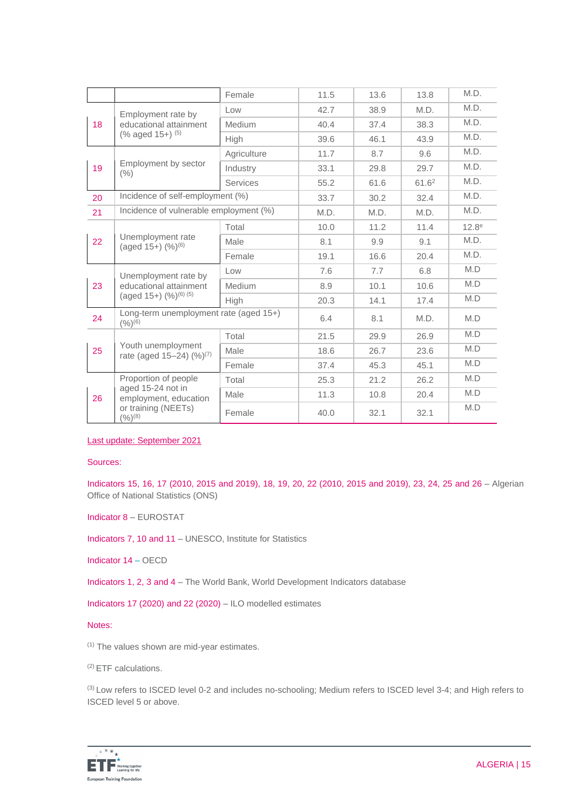|    |                                                                                                          | Female          | 11.5 | 13.6 | 13.8              | M.D.              |
|----|----------------------------------------------------------------------------------------------------------|-----------------|------|------|-------------------|-------------------|
| 18 | Employment rate by<br>educational attainment<br>(% aged 15+) (5)                                         | Low             | 42.7 | 38.9 | M.D.              | M.D.              |
|    |                                                                                                          | Medium          | 40.4 | 37.4 | 38.3              | M.D.              |
|    |                                                                                                          | High            | 39.6 | 46.1 | 43.9              | M.D.              |
|    | Employment by sector<br>(% )                                                                             | Agriculture     | 11.7 | 8.7  | 9.6               | M.D.              |
| 19 |                                                                                                          | Industry        | 33.1 | 29.8 | 29.7              | M.D.              |
|    |                                                                                                          | <b>Services</b> | 55.2 | 61.6 | 61.6 <sup>2</sup> | M.D.              |
| 20 | Incidence of self-employment (%)                                                                         |                 | 33.7 | 30.2 | 32.4              | M.D.              |
| 21 | Incidence of vulnerable employment (%)                                                                   |                 | M.D. | M.D. | M.D.              | M.D.              |
|    | Unemployment rate<br>(aged 15+) (%) <sup>(6)</sup>                                                       | Total           | 10.0 | 11.2 | 11.4              | 12.8 <sup>e</sup> |
| 22 |                                                                                                          | Male            | 8.1  | 9.9  | 9.1               | M.D.              |
|    |                                                                                                          | Female          | 19.1 | 16.6 | 20.4              | M.D.              |
|    | Unemployment rate by<br>educational attainment<br>(aged 15+) (%) <sup>(6)</sup> (5)                      | Low             | 7.6  | 7.7  | 6.8               | M.D               |
| 23 |                                                                                                          | <b>Medium</b>   | 8.9  | 10.1 | 10.6              | M.D               |
|    |                                                                                                          | High            | 20.3 | 14.1 | 17.4              | M.D               |
| 24 | Long-term unemployment rate (aged 15+)<br>(9/6)(6)                                                       |                 | 6.4  | 8.1  | M.D.              | M.D               |
|    | Youth unemployment<br>rate (aged 15-24) (%) <sup>(7)</sup>                                               | Total           | 21.5 | 29.9 | 26.9              | M.D               |
| 25 |                                                                                                          | Male            | 18.6 | 26.7 | 23.6              | M.D               |
|    |                                                                                                          | Female          | 37.4 | 45.3 | 45.1              | M.D               |
|    | Proportion of people<br>aged 15-24 not in<br>employment, education<br>or training (NEETs)<br>$(%)^{(8)}$ | Total           | 25.3 | 21.2 | 26.2              | M.D               |
| 26 |                                                                                                          | Male            | 11.3 | 10.8 | 20.4              | M.D               |
|    |                                                                                                          | Female          | 40.0 | 32.1 | 32.1              | M.D               |

Last update: September 2021

#### Sources:

Indicators 15, 16, 17 (2010, 2015 and 2019), 18, 19, 20, 22 (2010, 2015 and 2019), 23, 24, 25 and 26 – Algerian Office of National Statistics (ONS)

Indicator 8 – EUROSTAT

Indicators 7, 10 and 11 – UNESCO, Institute for Statistics

Indicator 14 – OECD

Indicators 1, 2, 3 and 4 – The World Bank, World Development Indicators database

Indicators 17 (2020) and 22 (2020) – ILO modelled estimates

#### Notes:

(1) The values shown are mid-year estimates.

(2) ETF calculations.

(3) Low refers to ISCED level 0-2 and includes no-schooling; Medium refers to ISCED level 3-4; and High refers to ISCED level 5 or above.

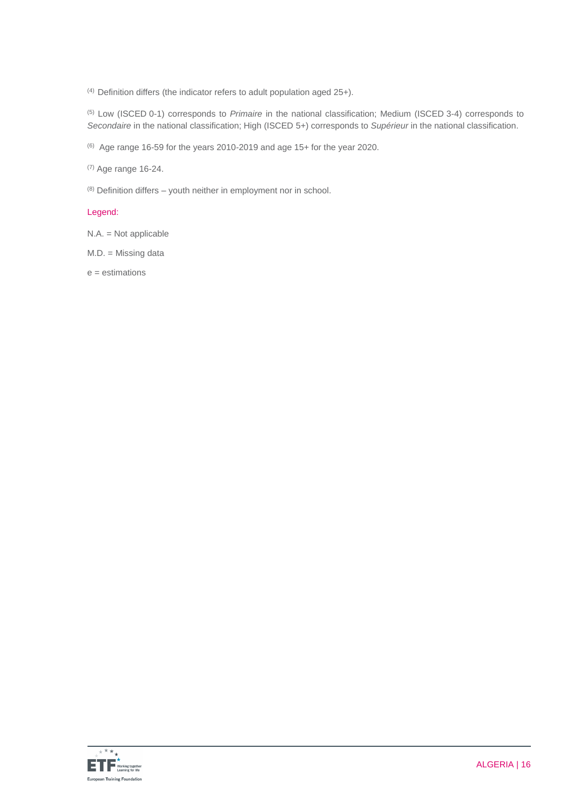$(4)$  Definition differs (the indicator refers to adult population aged 25+).

(5) Low (ISCED 0-1) corresponds to *Primaire* in the national classification; Medium (ISCED 3-4) corresponds to *Secondaire* in the national classification; High (ISCED 5+) corresponds to *Supérieur* in the national classification.

 $(6)$  Age range 16-59 for the years 2010-2019 and age 15+ for the year 2020.

(7) Age range 16-24.

 $(8)$  Definition differs – youth neither in employment nor in school.

#### Legend:

N.A. = Not applicable

M.D. = Missing data

 $e =$  estimations

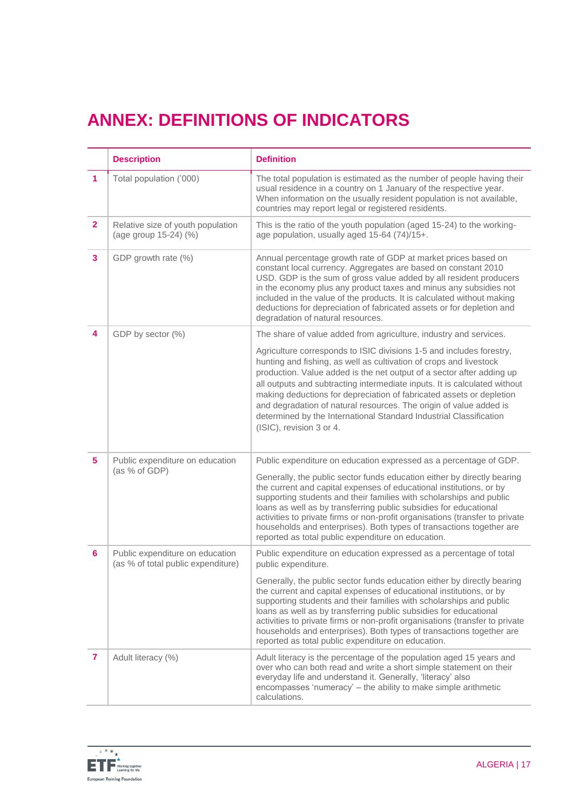# **ANNEX: DEFINITIONS OF INDICATORS**

|                | <b>Description</b>                                                    | <b>Definition</b>                                                                                                                                                                                                                                                                                                                                                                                                                                                                                                                                |
|----------------|-----------------------------------------------------------------------|--------------------------------------------------------------------------------------------------------------------------------------------------------------------------------------------------------------------------------------------------------------------------------------------------------------------------------------------------------------------------------------------------------------------------------------------------------------------------------------------------------------------------------------------------|
| 1.             | Total population ('000)                                               | The total population is estimated as the number of people having their<br>usual residence in a country on 1 January of the respective year.<br>When information on the usually resident population is not available,<br>countries may report legal or registered residents.                                                                                                                                                                                                                                                                      |
| $\mathbf{2}$   | Relative size of youth population<br>(age group 15-24) (%)            | This is the ratio of the youth population (aged 15-24) to the working-<br>age population, usually aged 15-64 (74)/15+.                                                                                                                                                                                                                                                                                                                                                                                                                           |
| 3              | GDP growth rate (%)                                                   | Annual percentage growth rate of GDP at market prices based on<br>constant local currency. Aggregates are based on constant 2010<br>USD. GDP is the sum of gross value added by all resident producers<br>in the economy plus any product taxes and minus any subsidies not<br>included in the value of the products. It is calculated without making<br>deductions for depreciation of fabricated assets or for depletion and<br>degradation of natural resources.                                                                              |
| 4              | GDP by sector (%)                                                     | The share of value added from agriculture, industry and services.                                                                                                                                                                                                                                                                                                                                                                                                                                                                                |
|                |                                                                       | Agriculture corresponds to ISIC divisions 1-5 and includes forestry,<br>hunting and fishing, as well as cultivation of crops and livestock<br>production. Value added is the net output of a sector after adding up<br>all outputs and subtracting intermediate inputs. It is calculated without<br>making deductions for depreciation of fabricated assets or depletion<br>and degradation of natural resources. The origin of value added is<br>determined by the International Standard Industrial Classification<br>(ISIC), revision 3 or 4. |
| 5 <sup>5</sup> | Public expenditure on education<br>(as % of GDP)                      | Public expenditure on education expressed as a percentage of GDP.                                                                                                                                                                                                                                                                                                                                                                                                                                                                                |
|                |                                                                       | Generally, the public sector funds education either by directly bearing<br>the current and capital expenses of educational institutions, or by<br>supporting students and their families with scholarships and public<br>loans as well as by transferring public subsidies for educational<br>activities to private firms or non-profit organisations (transfer to private<br>households and enterprises). Both types of transactions together are<br>reported as total public expenditure on education.                                         |
| 6              | Public expenditure on education<br>(as % of total public expenditure) | Public expenditure on education expressed as a percentage of total<br>public expenditure.                                                                                                                                                                                                                                                                                                                                                                                                                                                        |
|                |                                                                       | Generally, the public sector funds education either by directly bearing<br>the current and capital expenses of educational institutions, or by<br>supporting students and their families with scholarships and public<br>loans as well as by transferring public subsidies for educational<br>activities to private firms or non-profit organisations (transfer to private<br>households and enterprises). Both types of transactions together are<br>reported as total public expenditure on education.                                         |
| 7              | Adult literacy (%)                                                    | Adult literacy is the percentage of the population aged 15 years and<br>over who can both read and write a short simple statement on their<br>everyday life and understand it. Generally, 'literacy' also<br>encompasses 'numeracy' - the ability to make simple arithmetic<br>calculations.                                                                                                                                                                                                                                                     |

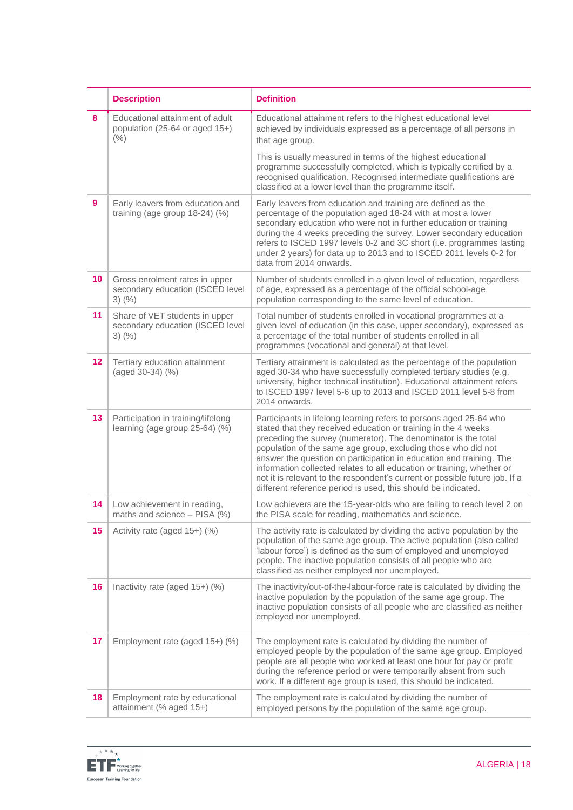|                 | <b>Description</b>                                                                 | <b>Definition</b>                                                                                                                                                                                                                                                                                                                                                                                                                                                                                                                                                        |  |
|-----------------|------------------------------------------------------------------------------------|--------------------------------------------------------------------------------------------------------------------------------------------------------------------------------------------------------------------------------------------------------------------------------------------------------------------------------------------------------------------------------------------------------------------------------------------------------------------------------------------------------------------------------------------------------------------------|--|
| 8               | Educational attainment of adult<br>population (25-64 or aged 15+)<br>(% )          | Educational attainment refers to the highest educational level<br>achieved by individuals expressed as a percentage of all persons in<br>that age group.                                                                                                                                                                                                                                                                                                                                                                                                                 |  |
|                 |                                                                                    | This is usually measured in terms of the highest educational<br>programme successfully completed, which is typically certified by a<br>recognised qualification. Recognised intermediate qualifications are<br>classified at a lower level than the programme itself.                                                                                                                                                                                                                                                                                                    |  |
| 9               | Early leavers from education and<br>training (age group 18-24) (%)                 | Early leavers from education and training are defined as the<br>percentage of the population aged 18-24 with at most a lower<br>secondary education who were not in further education or training<br>during the 4 weeks preceding the survey. Lower secondary education<br>refers to ISCED 1997 levels 0-2 and 3C short (i.e. programmes lasting<br>under 2 years) for data up to 2013 and to ISCED 2011 levels 0-2 for<br>data from 2014 onwards.                                                                                                                       |  |
| 10 <sup>1</sup> | Gross enrolment rates in upper<br>secondary education (ISCED level<br>$3)$ (%)     | Number of students enrolled in a given level of education, regardless<br>of age, expressed as a percentage of the official school-age<br>population corresponding to the same level of education.                                                                                                                                                                                                                                                                                                                                                                        |  |
| 11              | Share of VET students in upper<br>secondary education (ISCED level<br>$3)$ $(\% )$ | Total number of students enrolled in vocational programmes at a<br>given level of education (in this case, upper secondary), expressed as<br>a percentage of the total number of students enrolled in all<br>programmes (vocational and general) at that level.                                                                                                                                                                                                                                                                                                          |  |
| 12              | Tertiary education attainment<br>(aged 30-34) (%)                                  | Tertiary attainment is calculated as the percentage of the population<br>aged 30-34 who have successfully completed tertiary studies (e.g.<br>university, higher technical institution). Educational attainment refers<br>to ISCED 1997 level 5-6 up to 2013 and ISCED 2011 level 5-8 from<br>2014 onwards.                                                                                                                                                                                                                                                              |  |
| 13              | Participation in training/lifelong<br>learning (age group 25-64) (%)               | Participants in lifelong learning refers to persons aged 25-64 who<br>stated that they received education or training in the 4 weeks<br>preceding the survey (numerator). The denominator is the total<br>population of the same age group, excluding those who did not<br>answer the question on participation in education and training. The<br>information collected relates to all education or training, whether or<br>not it is relevant to the respondent's current or possible future job. If a<br>different reference period is used, this should be indicated. |  |
| 14              | Low achievement in reading,<br>maths and science - PISA (%)                        | Low achievers are the 15-year-olds who are failing to reach level 2 on<br>the PISA scale for reading, mathematics and science.                                                                                                                                                                                                                                                                                                                                                                                                                                           |  |
| 15              | Activity rate (aged 15+) (%)                                                       | The activity rate is calculated by dividing the active population by the<br>population of the same age group. The active population (also called<br>'labour force') is defined as the sum of employed and unemployed<br>people. The inactive population consists of all people who are<br>classified as neither employed nor unemployed.                                                                                                                                                                                                                                 |  |
| 16              | Inactivity rate (aged 15+) (%)                                                     | The inactivity/out-of-the-labour-force rate is calculated by dividing the<br>inactive population by the population of the same age group. The<br>inactive population consists of all people who are classified as neither<br>employed nor unemployed.                                                                                                                                                                                                                                                                                                                    |  |
| 17              | Employment rate (aged 15+) (%)                                                     | The employment rate is calculated by dividing the number of<br>employed people by the population of the same age group. Employed<br>people are all people who worked at least one hour for pay or profit<br>during the reference period or were temporarily absent from such<br>work. If a different age group is used, this should be indicated.                                                                                                                                                                                                                        |  |
| 18              | Employment rate by educational<br>attainment (% aged 15+)                          | The employment rate is calculated by dividing the number of<br>employed persons by the population of the same age group.                                                                                                                                                                                                                                                                                                                                                                                                                                                 |  |

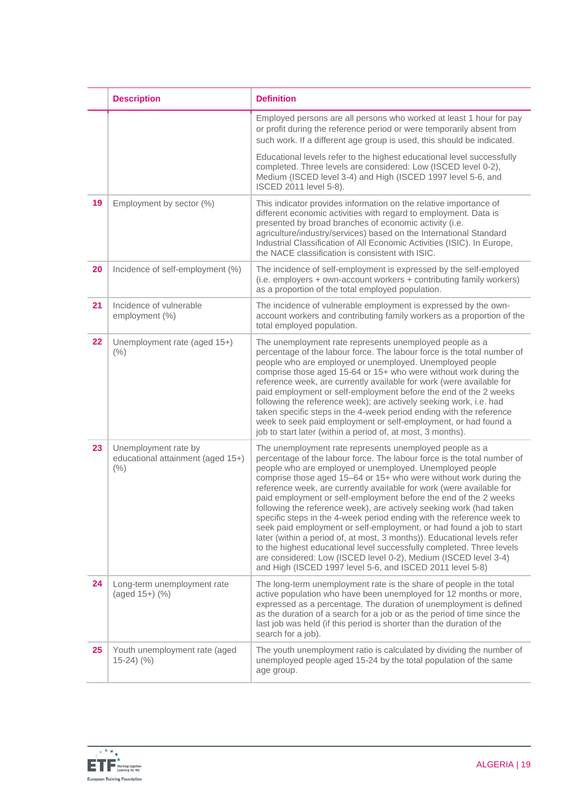|    | <b>Description</b>                                                | <b>Definition</b>                                                                                                                                                                                                                                                                                                                                                                                                                                                                                                                                                                                                                                                                                                                                                                                                                                                                                                            |
|----|-------------------------------------------------------------------|------------------------------------------------------------------------------------------------------------------------------------------------------------------------------------------------------------------------------------------------------------------------------------------------------------------------------------------------------------------------------------------------------------------------------------------------------------------------------------------------------------------------------------------------------------------------------------------------------------------------------------------------------------------------------------------------------------------------------------------------------------------------------------------------------------------------------------------------------------------------------------------------------------------------------|
|    |                                                                   | Employed persons are all persons who worked at least 1 hour for pay<br>or profit during the reference period or were temporarily absent from<br>such work. If a different age group is used, this should be indicated.                                                                                                                                                                                                                                                                                                                                                                                                                                                                                                                                                                                                                                                                                                       |
|    |                                                                   | Educational levels refer to the highest educational level successfully<br>completed. Three levels are considered: Low (ISCED level 0-2),<br>Medium (ISCED level 3-4) and High (ISCED 1997 level 5-6, and<br>ISCED 2011 level 5-8).                                                                                                                                                                                                                                                                                                                                                                                                                                                                                                                                                                                                                                                                                           |
| 19 | Employment by sector (%)                                          | This indicator provides information on the relative importance of<br>different economic activities with regard to employment. Data is<br>presented by broad branches of economic activity (i.e.<br>agriculture/industry/services) based on the International Standard<br>Industrial Classification of All Economic Activities (ISIC). In Europe,<br>the NACE classification is consistent with ISIC.                                                                                                                                                                                                                                                                                                                                                                                                                                                                                                                         |
| 20 | Incidence of self-employment (%)                                  | The incidence of self-employment is expressed by the self-employed<br>(i.e. employers + own-account workers + contributing family workers)<br>as a proportion of the total employed population.                                                                                                                                                                                                                                                                                                                                                                                                                                                                                                                                                                                                                                                                                                                              |
| 21 | Incidence of vulnerable<br>employment (%)                         | The incidence of vulnerable employment is expressed by the own-<br>account workers and contributing family workers as a proportion of the<br>total employed population.                                                                                                                                                                                                                                                                                                                                                                                                                                                                                                                                                                                                                                                                                                                                                      |
| 22 | Unemployment rate (aged 15+)<br>(% )                              | The unemployment rate represents unemployed people as a<br>percentage of the labour force. The labour force is the total number of<br>people who are employed or unemployed. Unemployed people<br>comprise those aged 15-64 or 15+ who were without work during the<br>reference week, are currently available for work (were available for<br>paid employment or self-employment before the end of the 2 weeks<br>following the reference week); are actively seeking work, i.e. had<br>taken specific steps in the 4-week period ending with the reference<br>week to seek paid employment or self-employment, or had found a<br>job to start later (within a period of, at most, 3 months).                                                                                                                                                                                                                               |
| 23 | Unemployment rate by<br>educational attainment (aged 15+)<br>(% ) | The unemployment rate represents unemployed people as a<br>percentage of the labour force. The labour force is the total number of<br>people who are employed or unemployed. Unemployed people<br>comprise those aged 15-64 or 15+ who were without work during the<br>reference week, are currently available for work (were available for<br>paid employment or self-employment before the end of the 2 weeks<br>following the reference week), are actively seeking work (had taken<br>specific steps in the 4-week period ending with the reference week to<br>seek paid employment or self-employment, or had found a job to start<br>later (within a period of, at most, 3 months)). Educational levels refer<br>to the highest educational level successfully completed. Three levels<br>are considered: Low (ISCED level 0-2), Medium (ISCED level 3-4)<br>and High (ISCED 1997 level 5-6, and ISCED 2011 level 5-8) |
| 24 | Long-term unemployment rate<br>(aged 15+) (%)                     | The long-term unemployment rate is the share of people in the total<br>active population who have been unemployed for 12 months or more,<br>expressed as a percentage. The duration of unemployment is defined<br>as the duration of a search for a job or as the period of time since the<br>last job was held (if this period is shorter than the duration of the<br>search for a job).                                                                                                                                                                                                                                                                                                                                                                                                                                                                                                                                    |
| 25 | Youth unemployment rate (aged<br>$15-24)$ (%)                     | The youth unemployment ratio is calculated by dividing the number of<br>unemployed people aged 15-24 by the total population of the same<br>age group.                                                                                                                                                                                                                                                                                                                                                                                                                                                                                                                                                                                                                                                                                                                                                                       |

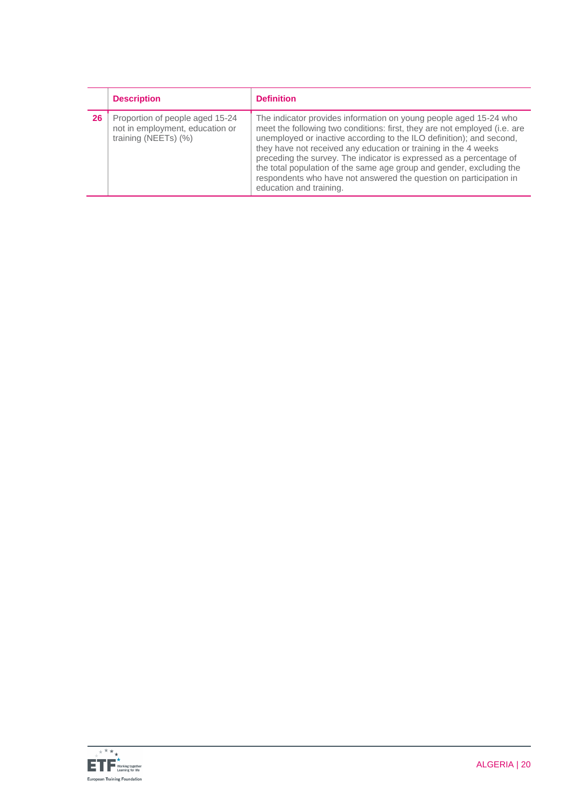|    | <b>Description</b>                                                                         | <b>Definition</b>                                                                                                                                                                                                                                                                                                                                                                                                                                                                                                                         |
|----|--------------------------------------------------------------------------------------------|-------------------------------------------------------------------------------------------------------------------------------------------------------------------------------------------------------------------------------------------------------------------------------------------------------------------------------------------------------------------------------------------------------------------------------------------------------------------------------------------------------------------------------------------|
| 26 | Proportion of people aged 15-24<br>not in employment, education or<br>training (NEETs) (%) | The indicator provides information on young people aged 15-24 who<br>meet the following two conditions: first, they are not employed (i.e. are<br>unemployed or inactive according to the ILO definition); and second,<br>they have not received any education or training in the 4 weeks<br>preceding the survey. The indicator is expressed as a percentage of<br>the total population of the same age group and gender, excluding the<br>respondents who have not answered the question on participation in<br>education and training. |

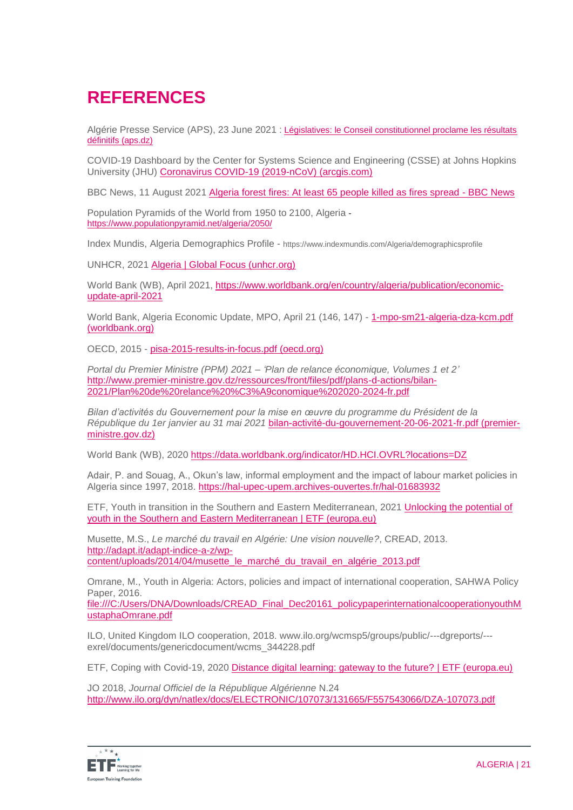# **REFERENCES**

Algérie Presse Service (APS), 23 June 2021 : Législatives: le Conseil constitutionnel proclame les résultats [définitifs \(aps.dz\)](https://www.aps.dz/algerie/124026-legislatives-du-12-juin-le-conseil-constitutionnel-proclame-les-resultats-definitifs)

COVID-19 Dashboard by the Center for Systems Science and Engineering (CSSE) at Johns Hopkins University (JHU) [Coronavirus COVID-19 \(2019-nCoV\) \(arcgis.com\)](https://gisanddata.maps.arcgis.com/apps/dashboards/bda7594740fd40299423467b48e9ecf6)

BBC News, 11 August 2021 [Algeria forest fires: At least 65 people killed as fires spread -](https://www.bbc.com/news/world-africa-58174918) BBC News

Population Pyramids of the World from 1950 to 2100, Algeria <https://www.populationpyramid.net/algeria/2050/>

Index Mundis, Algeria Demographics Profile - https://www.indexmundis.com/Algeria/demographicsprofile

UNHCR, 2021 [Algeria | Global Focus \(unhcr.org\)](https://reporting.unhcr.org/algeria)

World Bank (WB), April 2021, [https://www.worldbank.org/en/country/algeria/publication/economic](https://www.worldbank.org/en/country/algeria/publication/economic-update-april-2021)[update-april-2021](https://www.worldbank.org/en/country/algeria/publication/economic-update-april-2021)

World Bank, Algeria Economic Update, MPO, April 21 (146, 147) - [1-mpo-sm21-algeria-dza-kcm.pdf](https://thedocs.worldbank.org/en/doc/bb7f0f274cf7427a06bace51771c863d-0280012021/original/1-mpo-sm21-algeria-dza-kcm.pdf)  [\(worldbank.org\)](https://thedocs.worldbank.org/en/doc/bb7f0f274cf7427a06bace51771c863d-0280012021/original/1-mpo-sm21-algeria-dza-kcm.pdf)

OECD, 2015 - [pisa-2015-results-in-focus.pdf \(oecd.org\)](https://www.oecd.org/pisa/pisa-2015-results-in-focus.pdf)

*Portal du Premier Ministre (PPM) 2021 – 'Plan de relance économique, Volumes 1 et 2'* [http://www.premier-ministre.gov.dz/ressources/front/files/pdf/plans-d-actions/bilan-](http://www.premier-ministre.gov.dz/ressources/front/files/pdf/plans-d-actions/bilan-2021/Plan%20de%20relance%20%C3%A9conomique%202020-2024-fr.pdf)[2021/Plan%20de%20relance%20%C3%A9conomique%202020-2024-fr.pdf](http://www.premier-ministre.gov.dz/ressources/front/files/pdf/plans-d-actions/bilan-2021/Plan%20de%20relance%20%C3%A9conomique%202020-2024-fr.pdf)

*Bilan d'activités du Gouvernement pour la mise en œuvre du programme du Président de la République du 1er janvier au 31 mai 2021* [bilan-activité-du-gouvernement-20-06-2021-fr.pdf \(premier](http://www.premier-ministre.gov.dz/ressources/front/files/pdf/plans-d-actions/bilan-activite%CC%81-du-gouvernement-20-06-2021-fr.pdf)[ministre.gov.dz\)](http://www.premier-ministre.gov.dz/ressources/front/files/pdf/plans-d-actions/bilan-activite%CC%81-du-gouvernement-20-06-2021-fr.pdf)

World Bank (WB), 2020<https://data.worldbank.org/indicator/HD.HCI.OVRL?locations=DZ>

Adair, P. and Souag, A., Okun's law, informal employment and the impact of labour market policies in Algeria since 1997, 2018.<https://hal-upec-upem.archives-ouvertes.fr/hal-01683932>

ETF, Youth in transition in the Southern and Eastern Mediterranean, 2021 [Unlocking the potential of](https://www.etf.europa.eu/en/publications-and-resources/publications/unlocking-potential-youth-southern-and-eastern)  [youth in the Southern and Eastern Mediterranean | ETF \(europa.eu\)](https://www.etf.europa.eu/en/publications-and-resources/publications/unlocking-potential-youth-southern-and-eastern)

Musette, M.S., *Le marché du travail en Algérie: Une vision nouvelle?*, CREAD, 2013. [http://adapt.it/adapt-indice-a-z/wp](http://adapt.it/adapt-indice-a-z/wp-content/uploads/2014/04/musette_le_marché_du_travail_en_algérie_2013.pdf)[content/uploads/2014/04/musette\\_le\\_marché\\_du\\_travail\\_en\\_algérie\\_2013.pdf](http://adapt.it/adapt-indice-a-z/wp-content/uploads/2014/04/musette_le_marché_du_travail_en_algérie_2013.pdf)

Omrane, M., Youth in Algeria: Actors, policies and impact of international cooperation, SAHWA Policy Paper, 2016.

[file:///C:/Users/DNA/Downloads/CREAD\\_Final\\_Dec20161\\_policypaperinternationalcooperationyouthM](file:///C:/Users/DNA/Downloads/CREAD_Final_Dec20161_policypaperinternationalcooperationyouthMustaphaOmrane.pdf) [ustaphaOmrane.pdf](file:///C:/Users/DNA/Downloads/CREAD_Final_Dec20161_policypaperinternationalcooperationyouthMustaphaOmrane.pdf)

ILO, United Kingdom ILO cooperation, 2018. www.ilo.org/wcmsp5/groups/public/---dgreports/-- exrel/documents/genericdocument/wcms\_344228.pdf

ETF, Coping with Covid-19, 2020 [Distance digital learning: gateway to the future? | ETF \(europa.eu\)](https://www.etf.europa.eu/en/news-and-events/news/distance-digital-learning-gateway-future)

JO 2018, *Journal Officiel de la République Algérienne* N.24 <http://www.ilo.org/dyn/natlex/docs/ELECTRONIC/107073/131665/F557543066/DZA-107073.pdf>

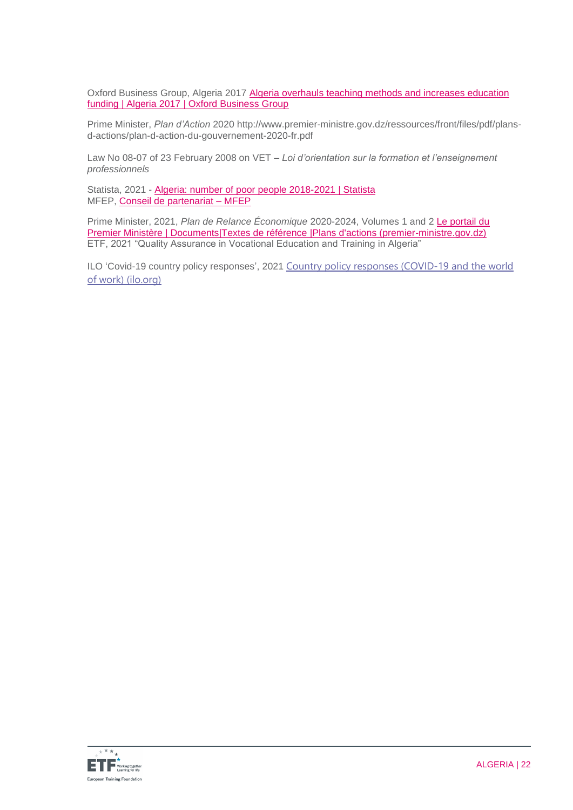Oxford Business Group, Algeria 2017 [Algeria overhauls teaching methods and increases education](https://oxfordbusinessgroup.com/overview/knuckling-down-overhaul-teaching-methods-and-increased-funding-raise-standard-learning-all-schooling)  [funding | Algeria 2017 | Oxford Business Group](https://oxfordbusinessgroup.com/overview/knuckling-down-overhaul-teaching-methods-and-increased-funding-raise-standard-learning-all-schooling)

Prime Minister, *Plan d'Action* 2020 http://www.premier-ministre.gov.dz/ressources/front/files/pdf/plansd-actions/plan-d-action-du-gouvernement-2020-fr.pdf

Law No 08-07 of 23 February 2008 on VET – *Loi d'orientation sur la formation et l'enseignement professionnels*

Statista, 2021 - [Algeria: number of poor people 2018-2021 | Statista](https://www.statista.com/statistics/1218877/population-under-the-poverty-line-in-algeria/) MFEP, [Conseil de partenariat –](https://www.mfep.gov.dz/fr/conseil-de-partenariat/) MFEP

Prime Minister, 2021, *Plan de Relance Économique* 2020-2024, Volumes 1 and [2 Le portail du](http://www.premier-ministre.gov.dz/fr/documents/textes-de-references/plans-d-actions)  Premier Ministère | Documents|Textes de référence | Plans d'actions (premier-ministre.gov.dz) ETF, 2021 "Quality Assurance in Vocational Education and Training in Algeria"

ILO 'Covid-19 country policy responses', 2021 [Country policy responses \(COVID-19 and the world](https://www.ilo.org/global/topics/coronavirus/regional-country/country-responses/lang--en/index.htm)  [of work\) \(ilo.org\)](https://www.ilo.org/global/topics/coronavirus/regional-country/country-responses/lang--en/index.htm)

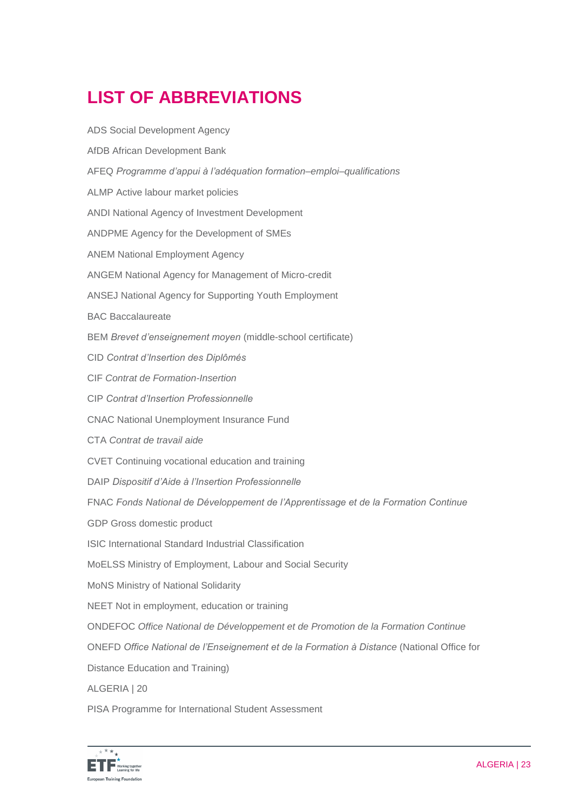# **LIST OF ABBREVIATIONS**

| <b>ADS Social Development Agency</b>                                                       |
|--------------------------------------------------------------------------------------------|
| AfDB African Development Bank                                                              |
| AFEQ Programme d'appui à l'adéquation formation-emploi-qualifications                      |
| ALMP Active labour market policies                                                         |
| ANDI National Agency of Investment Development                                             |
| ANDPME Agency for the Development of SMEs                                                  |
| <b>ANEM National Employment Agency</b>                                                     |
| ANGEM National Agency for Management of Micro-credit                                       |
| <b>ANSEJ National Agency for Supporting Youth Employment</b>                               |
| <b>BAC Baccalaureate</b>                                                                   |
| BEM Brevet d'enseignement moyen (middle-school certificate)                                |
| CID Contrat d'Insertion des Diplômés                                                       |
| CIF Contrat de Formation-Insertion                                                         |
| <b>CIP Contrat d'Insertion Professionnelle</b>                                             |
| <b>CNAC National Unemployment Insurance Fund</b>                                           |
| CTA Contrat de travail aide                                                                |
| CVET Continuing vocational education and training                                          |
| DAIP Dispositif d'Aide à l'Insertion Professionnelle                                       |
| FNAC Fonds National de Développement de l'Apprentissage et de la Formation Continue        |
| GDP Gross domestic product                                                                 |
| <b>ISIC International Standard Industrial Classification</b>                               |
| MoELSS Ministry of Employment, Labour and Social Security                                  |
| MoNS Ministry of National Solidarity                                                       |
| NEET Not in employment, education or training                                              |
| ONDEFOC Office National de Développement et de Promotion de la Formation Continue          |
| ONEFD Office National de l'Enseignement et de la Formation à Distance (National Office for |
| Distance Education and Training)                                                           |
| ALGERIA   20                                                                               |
| PISA Programme for International Student Assessment                                        |

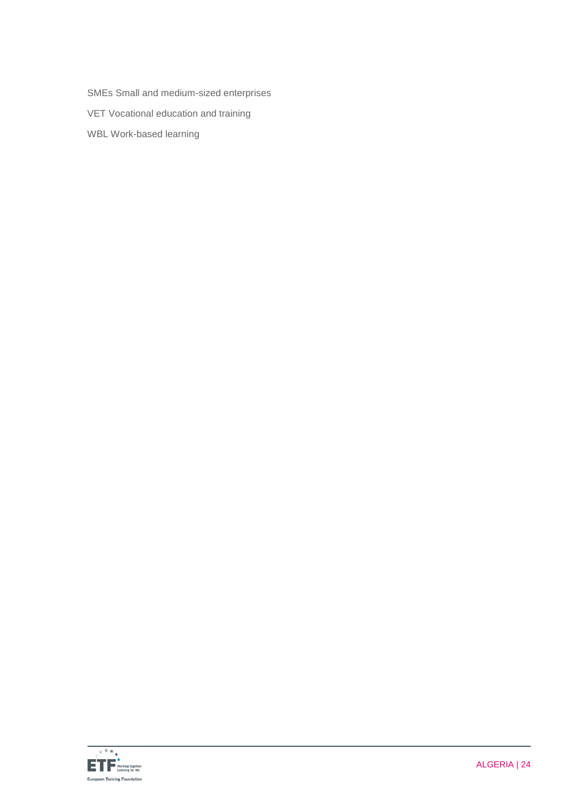SMEs Small and medium-sized enterprises

VET Vocational education and training

WBL Work-based learning